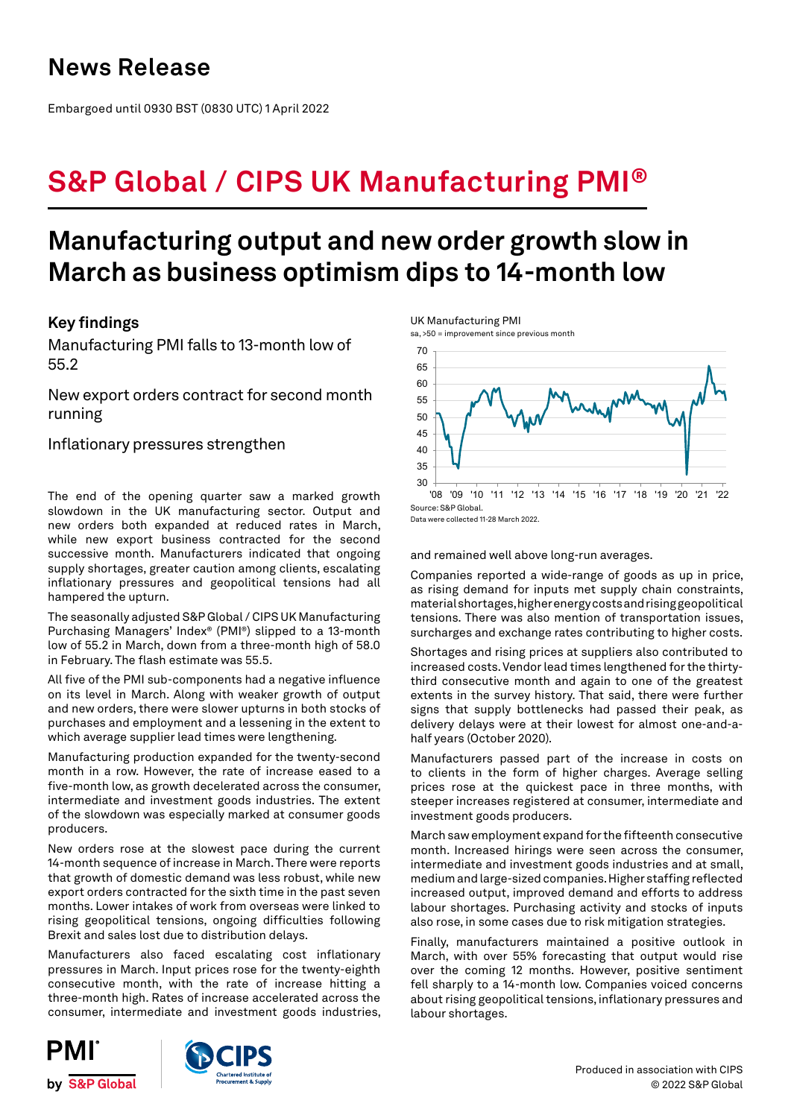## **News Release**

Embargoed until 0930 BST (0830 UTC) 1 April 2022

# **S&P Global / CIPS UK Manufacturing PMI®**

## **Manufacturing output and new order growth slow in March as business optimism dips to 14-month low**

## **Key findings**

Manufacturing PMI falls to 13-month low of 55.2

New export orders contract for second month running

Inflationary pressures strengthen

The end of the opening quarter saw a marked growth slowdown in the UK manufacturing sector. Output and new orders both expanded at reduced rates in March, while new export business contracted for the second successive month. Manufacturers indicated that ongoing supply shortages, greater caution among clients, escalating inflationary pressures and geopolitical tensions had all hampered the upturn.

The seasonally adjusted S&P Global / CIPS UK Manufacturing Purchasing Managers' Index® (PMI®) slipped to a 13-month low of 55.2 in March, down from a three-month high of 58.0 in February. The flash estimate was 55.5.

All five of the PMI sub-components had a negative influence on its level in March. Along with weaker growth of output and new orders, there were slower upturns in both stocks of purchases and employment and a lessening in the extent to which average supplier lead times were lengthening.

Manufacturing production expanded for the twenty-second month in a row. However, the rate of increase eased to a five-month low, as growth decelerated across the consumer, intermediate and investment goods industries. The extent of the slowdown was especially marked at consumer goods producers.

New orders rose at the slowest pace during the current 14-month sequence of increase in March. There were reports that growth of domestic demand was less robust, while new export orders contracted for the sixth time in the past seven months. Lower intakes of work from overseas were linked to rising geopolitical tensions, ongoing difficulties following Brexit and sales lost due to distribution delays.

Manufacturers also faced escalating cost inflationary pressures in March. Input prices rose for the twenty-eighth consecutive month, with the rate of increase hitting a three-month high. Rates of increase accelerated across the consumer, intermediate and investment goods industries, UK Manufacturing PMI

sa, >50 = improvement since previous month



Data were collected 11-28 March 2022.

and remained well above long-run averages.

Companies reported a wide-range of goods as up in price, as rising demand for inputs met supply chain constraints, material shortages, higher energy costs and rising geopolitical tensions. There was also mention of transportation issues, surcharges and exchange rates contributing to higher costs.

Shortages and rising prices at suppliers also contributed to increased costs. Vendor lead times lengthened for the thirtythird consecutive month and again to one of the greatest extents in the survey history. That said, there were further signs that supply bottlenecks had passed their peak, as delivery delays were at their lowest for almost one-and-ahalf years (October 2020).

Manufacturers passed part of the increase in costs on to clients in the form of higher charges. Average selling prices rose at the quickest pace in three months, with steeper increases registered at consumer, intermediate and investment goods producers.

March saw employment expand for the fifteenth consecutive month. Increased hirings were seen across the consumer, intermediate and investment goods industries and at small, medium and large-sized companies. Higher staffing reflected increased output, improved demand and efforts to address labour shortages. Purchasing activity and stocks of inputs also rose, in some cases due to risk mitigation strategies.

Finally, manufacturers maintained a positive outlook in March, with over 55% forecasting that output would rise over the coming 12 months. However, positive sentiment fell sharply to a 14-month low. Companies voiced concerns about rising geopolitical tensions, inflationary pressures and labour shortages.